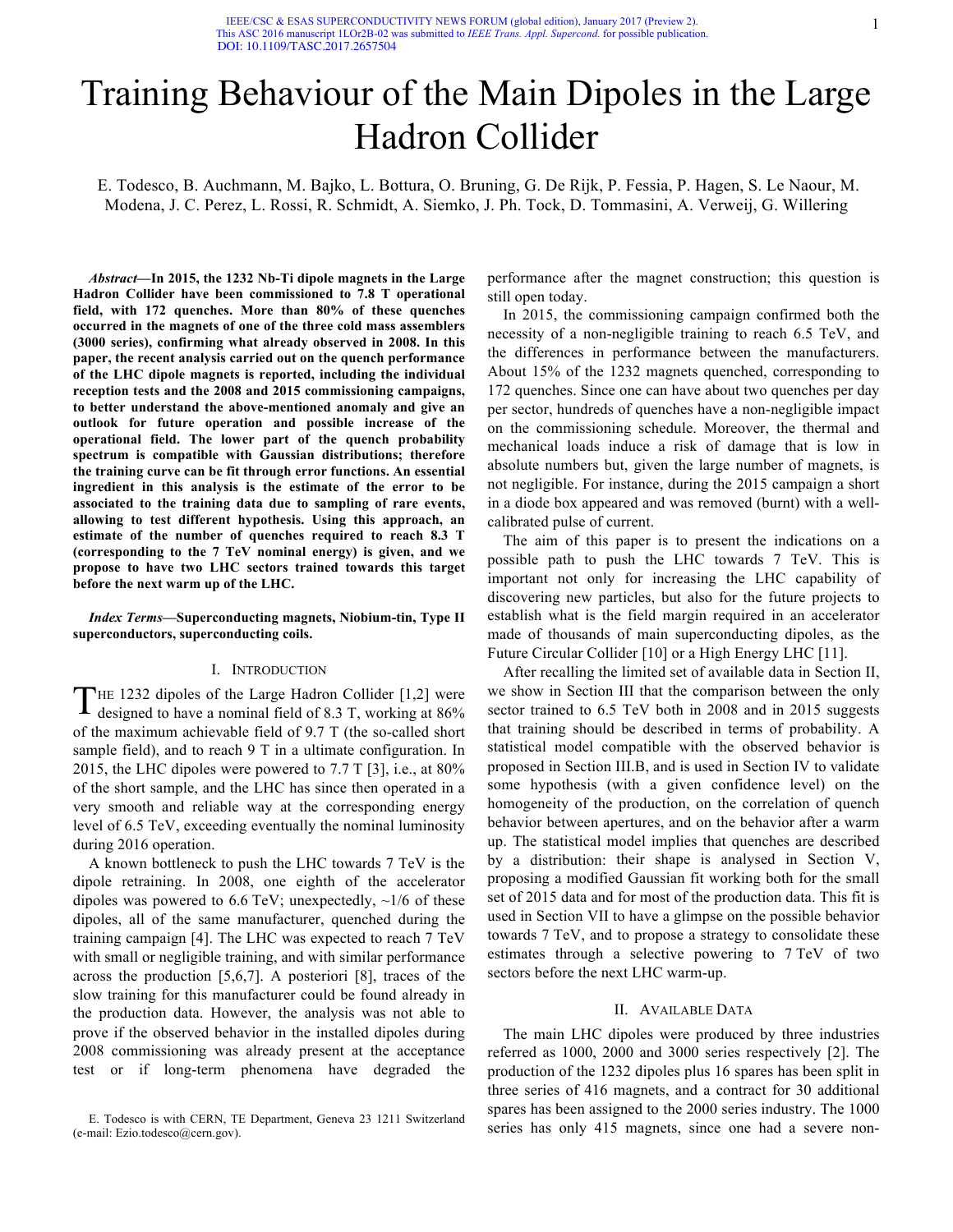# Training Behaviour of the Main Dipoles in the Large Hadron Collider

E. Todesco, B. Auchmann, M. Bajko, L. Bottura, O. Bruning, G. De Rijk, P. Fessia, P. Hagen, S. Le Naour, M. Modena, J. C. Perez, L. Rossi, R. Schmidt, A. Siemko, J. Ph. Tock, D. Tommasini, A. Verweij, G. Willering

*Abstract***—In 2015, the 1232 Nb-Ti dipole magnets in the Large Hadron Collider have been commissioned to 7.8 T operational field, with 172 quenches. More than 80% of these quenches occurred in the magnets of one of the three cold mass assemblers (3000 series), confirming what already observed in 2008. In this paper, the recent analysis carried out on the quench performance of the LHC dipole magnets is reported, including the individual reception tests and the 2008 and 2015 commissioning campaigns, to better understand the above-mentioned anomaly and give an outlook for future operation and possible increase of the operational field. The lower part of the quench probability spectrum is compatible with Gaussian distributions; therefore the training curve can be fit through error functions. An essential ingredient in this analysis is the estimate of the error to be associated to the training data due to sampling of rare events, allowing to test different hypothesis. Using this approach, an estimate of the number of quenches required to reach 8.3 T (corresponding to the 7 TeV nominal energy) is given, and we propose to have two LHC sectors trained towards this target before the next warm up of the LHC.** 

## *Index Terms***—Superconducting magnets, Niobium-tin, Type II superconductors, superconducting coils.**

## I. INTRODUCTION

THE 1232 dipoles of the Large Hadron Collider [1,2] were THE 1232 dipoles of the Large Hadron Collider [1,2] were designed to have a nominal field of 8.3 T, working at 86% of the maximum achievable field of 9.7 T (the so-called short sample field), and to reach 9 T in a ultimate configuration. In 2015, the LHC dipoles were powered to 7.7 T [3], i.e., at 80% of the short sample, and the LHC has since then operated in a very smooth and reliable way at the corresponding energy level of 6.5 TeV, exceeding eventually the nominal luminosity during 2016 operation.

A known bottleneck to push the LHC towards 7 TeV is the dipole retraining. In 2008, one eighth of the accelerator dipoles was powered to 6.6 TeV; unexpectedly,  $\sim$ 1/6 of these dipoles, all of the same manufacturer, quenched during the training campaign [4]. The LHC was expected to reach 7 TeV with small or negligible training, and with similar performance across the production [5,6,7]. A posteriori [8], traces of the slow training for this manufacturer could be found already in the production data. However, the analysis was not able to prove if the observed behavior in the installed dipoles during 2008 commissioning was already present at the acceptance test or if long-term phenomena have degraded the

performance after the magnet construction; this question is still open today.

In 2015, the commissioning campaign confirmed both the necessity of a non-negligible training to reach 6.5 TeV, and the differences in performance between the manufacturers. About 15% of the 1232 magnets quenched, corresponding to 172 quenches. Since one can have about two quenches per day per sector, hundreds of quenches have a non-negligible impact on the commissioning schedule. Moreover, the thermal and mechanical loads induce a risk of damage that is low in absolute numbers but, given the large number of magnets, is not negligible. For instance, during the 2015 campaign a short in a diode box appeared and was removed (burnt) with a wellcalibrated pulse of current.

The aim of this paper is to present the indications on a possible path to push the LHC towards 7 TeV. This is important not only for increasing the LHC capability of discovering new particles, but also for the future projects to establish what is the field margin required in an accelerator made of thousands of main superconducting dipoles, as the Future Circular Collider [10] or a High Energy LHC [11].

After recalling the limited set of available data in Section II, we show in Section III that the comparison between the only sector trained to  $6.5$  TeV both in 2008 and in 2015 suggests that training should be described in terms of probability. A statistical model compatible with the observed behavior is proposed in Section III.B, and is used in Section IV to validate some hypothesis (with a given confidence level) on the homogeneity of the production, on the correlation of quench behavior between apertures, and on the behavior after a warm up. The statistical model implies that quenches are described by a distribution: their shape is analysed in Section V, proposing a modified Gaussian fit working both for the small set of 2015 data and for most of the production data. This fit is used in Section VII to have a glimpse on the possible behavior towards 7 TeV, and to propose a strategy to consolidate these estimates through a selective powering to 7 TeV of two sectors before the next LHC warm-up.

## II. AVAILABLE DATA

The main LHC dipoles were produced by three industries referred as 1000, 2000 and 3000 series respectively [2]. The production of the 1232 dipoles plus 16 spares has been split in three series of 416 magnets, and a contract for 30 additional spares has been assigned to the 2000 series industry. The 1000 series has only 415 magnets, since one had a severe non-

E. Todesco is with CERN, TE Department, Geneva 23 1211 Switzerland (e-mail: Ezio.todesco@cern.gov).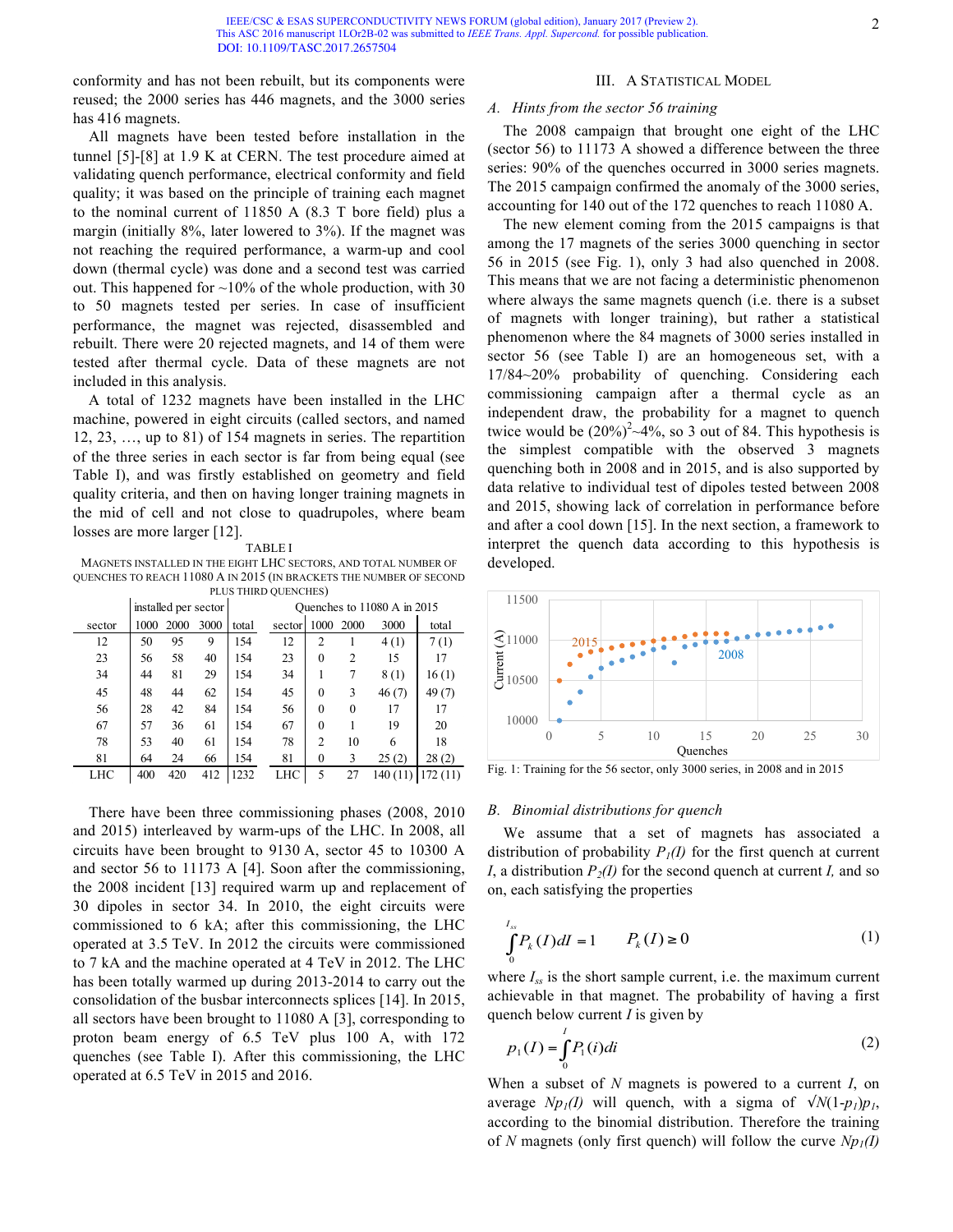conformity and has not been rebuilt, but its components were reused; the 2000 series has 446 magnets, and the 3000 series has 416 magnets.

All magnets have been tested before installation in the tunnel [5]-[8] at 1.9 K at CERN. The test procedure aimed at validating quench performance, electrical conformity and field quality; it was based on the principle of training each magnet to the nominal current of 11850 A (8.3 T bore field) plus a margin (initially 8%, later lowered to 3%). If the magnet was not reaching the required performance, a warm-up and cool down (thermal cycle) was done and a second test was carried out. This happened for  $\sim$ 10% of the whole production, with 30 to 50 magnets tested per series. In case of insufficient performance, the magnet was rejected, disassembled and rebuilt. There were 20 rejected magnets, and 14 of them were tested after thermal cycle. Data of these magnets are not included in this analysis.

A total of 1232 magnets have been installed in the LHC machine, powered in eight circuits (called sectors, and named 12, 23, …, up to 81) of 154 magnets in series. The repartition of the three series in each sector is far from being equal (see Table I), and was firstly established on geometry and field quality criteria, and then on having longer training magnets in the mid of cell and not close to quadrupoles, where beam losses are more larger [12].

TABLE I

MAGNETS INSTALLED IN THE EIGHT LHC SECTORS, AND TOTAL NUMBER OF QUENCHES TO REACH 11080 A IN 2015 (IN BRACKETS THE NUMBER OF SECOND PLUS THIRD QUENCHES)

| TEOD THIND OULINCITED. |      |      |                      |                             |        |          |          |          |         |
|------------------------|------|------|----------------------|-----------------------------|--------|----------|----------|----------|---------|
|                        |      |      | installed per sector | Ouenches to 11080 A in 2015 |        |          |          |          |         |
| sector                 | 1000 | 2000 | 3000                 | total                       | sector | 1000     | 2000     | 3000     | total   |
| 12                     | 50   | 95   | 9                    | 154                         | 12     | 2        |          | 4(1)     | 7(1)    |
| 23                     | 56   | 58   | 40                   | 154                         | 23     | $\theta$ | 2        | 15       | 17      |
| 34                     | 44   | 81   | 29                   | 154                         | 34     |          | 7        | 8(1)     | 16(1)   |
| 45                     | 48   | 44   | 62                   | 154                         | 45     | $\Omega$ | 3        | 46(7)    | 49(7)   |
| 56                     | 28   | 42   | 84                   | 154                         | 56     | $\Omega$ | $\theta$ | 17       | 17      |
| 67                     | 57   | 36   | 61                   | 154                         | 67     | $\theta$ |          | 19       | 20      |
| 78                     | 53   | 40   | 61                   | 154                         | 78     | 2        | 10       | 6        | 18      |
| 81                     | 64   | 24   | 66                   | 154                         | 81     | 0        | 3        | 25(2)    | 28(2)   |
| LHC                    | 400  | 420  | 412                  | 1232                        | LHC    | 5        | 27       | 140 (11) | 172(11) |

There have been three commissioning phases (2008, 2010 and 2015) interleaved by warm-ups of the LHC. In 2008, all circuits have been brought to 9130 A, sector 45 to 10300 A and sector 56 to 11173 A [4]. Soon after the commissioning, the 2008 incident [13] required warm up and replacement of 30 dipoles in sector 34. In 2010, the eight circuits were commissioned to 6 kA; after this commissioning, the LHC operated at 3.5 TeV. In 2012 the circuits were commissioned to 7 kA and the machine operated at 4 TeV in 2012. The LHC has been totally warmed up during 2013-2014 to carry out the consolidation of the busbar interconnects splices [14]. In 2015, all sectors have been brought to 11080 A [3], corresponding to proton beam energy of 6.5 TeV plus 100 A, with 172 quenches (see Table I). After this commissioning, the LHC operated at 6.5 TeV in 2015 and 2016.

## III. A STATISTICAL MODEL

## *A. Hints from the sector 56 training*

The 2008 campaign that brought one eight of the LHC (sector 56) to 11173 A showed a difference between the three series: 90% of the quenches occurred in 3000 series magnets. The 2015 campaign confirmed the anomaly of the 3000 series, accounting for 140 out of the 172 quenches to reach 11080 A.

The new element coming from the 2015 campaigns is that among the 17 magnets of the series 3000 quenching in sector 56 in 2015 (see Fig. 1), only 3 had also quenched in 2008. This means that we are not facing a deterministic phenomenon where always the same magnets quench (i.e. there is a subset of magnets with longer training), but rather a statistical phenomenon where the 84 magnets of 3000 series installed in sector 56 (see Table I) are an homogeneous set, with a 17/84~20% probability of quenching. Considering each commissioning campaign after a thermal cycle as an independent draw, the probability for a magnet to quench twice would be  $(20\%)^2 \sim 4\%$ , so 3 out of 84. This hypothesis is the simplest compatible with the observed 3 magnets quenching both in 2008 and in 2015, and is also supported by data relative to individual test of dipoles tested between 2008 and 2015, showing lack of correlation in performance before and after a cool down [15]. In the next section, a framework to interpret the quench data according to this hypothesis is developed.



Fig. 1: Training for the 56 sector, only 3000 series, in 2008 and in 2015

### *B. Binomial distributions for quench*

We assume that a set of magnets has associated a distribution of probability  $P_I(I)$  for the first quench at current *I*, a distribution  $P_2(I)$  for the second quench at current *I*, and so on, each satisfying the properties

$$
\int_{0}^{I_{ss}} P_{k}(I)dI = 1 \qquad P_{k}(I) \ge 0 \tag{1}
$$

where  $I_{ss}$  is the short sample current, i.e. the maximum current achievable in that magnet. The probability of having a first quench below current *I* is given by

$$
p_1(I) = \int_0^I P_1(i)di
$$
 (2)

When a subset of *N* magnets is powered to a current *I*, on average *Np<sub>1</sub>*(*I*) will quench, with a sigma of  $\sqrt{N(1-p)}p_1$ , according to the binomial distribution. Therefore the training of *N* magnets (only first quench) will follow the curve  $Np_1(I)$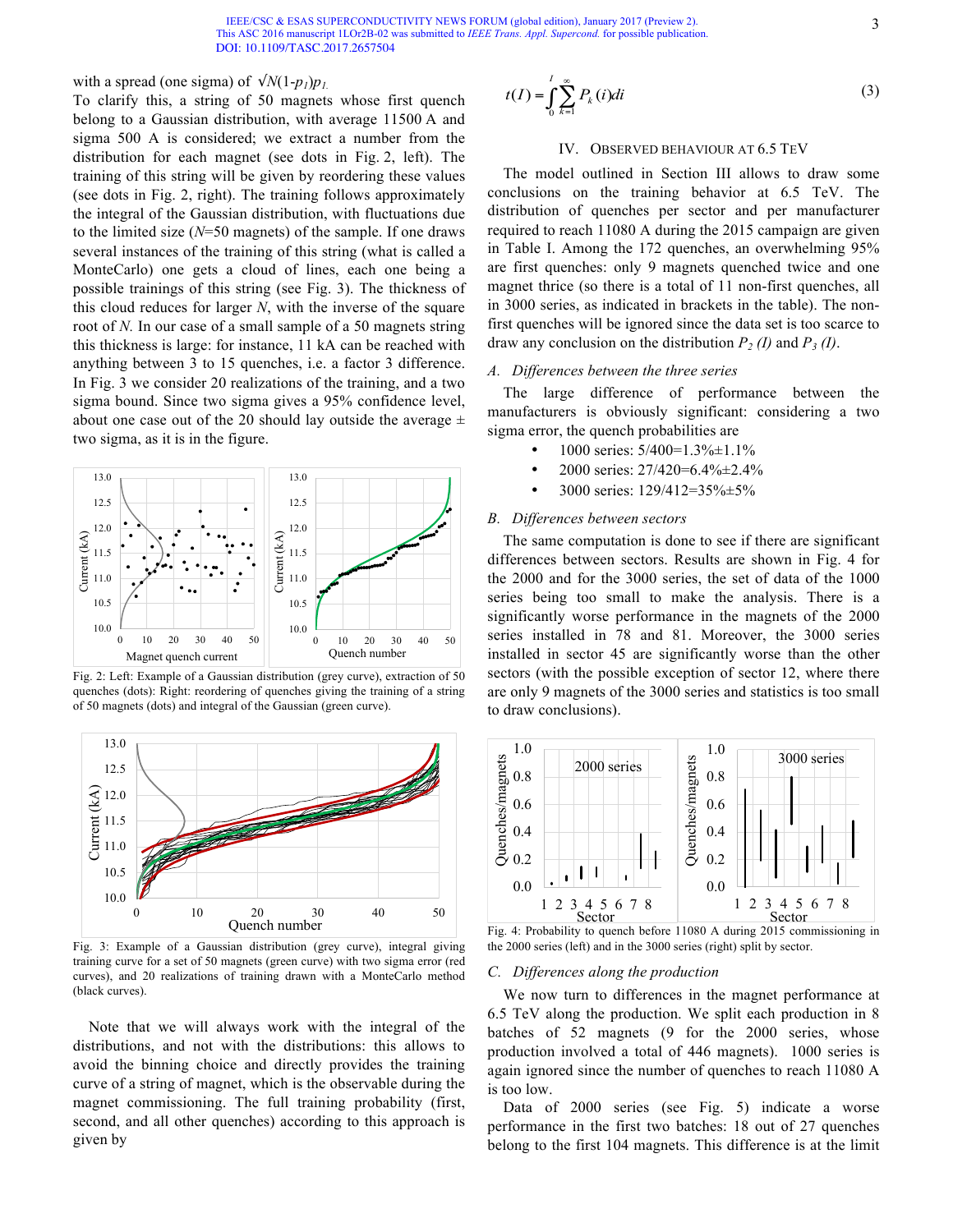IEEE/CSC & ESAS SUPERCONDUCTIVITY NEWS FORUM (global edition), January 2017 (Preview 2). This ASC 2016 manuscript 1LOr2B-02 was submitted to *IEEE Trans. Appl. Supercond.* for possible publication. [DOI: 10.1109/TASC.201](http://ieeexplore.ieee.org/document/7831387/)7.2657504

## with a spread (one sigma) of  $\sqrt{N(1-p_l)p_l}$ .

To clarify this, a string of 50 magnets whose first quench belong to a Gaussian distribution, with average 11500 A and sigma 500 A is considered; we extract a number from the distribution for each magnet (see dots in Fig. 2, left). The training of this string will be given by reordering these values (see dots in Fig. 2, right). The training follows approximately the integral of the Gaussian distribution, with fluctuations due to the limited size (*N*=50 magnets) of the sample. If one draws several instances of the training of this string (what is called a MonteCarlo) one gets a cloud of lines, each one being a possible trainings of this string (see Fig. 3). The thickness of this cloud reduces for larger *N*, with the inverse of the square root of *N.* In our case of a small sample of a 50 magnets string this thickness is large: for instance, 11 kA can be reached with anything between 3 to 15 quenches, i.e. a factor 3 difference. In Fig. 3 we consider 20 realizations of the training, and a two sigma bound. Since two sigma gives a 95% confidence level, about one case out of the 20 should lay outside the average  $\pm$ two sigma, as it is in the figure.



Fig. 2: Left: Example of a Gaussian distribution (grey curve), extraction of 50 quenches (dots): Right: reordering of quenches giving the training of a string of 50 magnets (dots) and integral of the Gaussian (green curve).



Fig. 3: Example of a Gaussian distribution (grey curve), integral giving training curve for a set of 50 magnets (green curve) with two sigma error (red curves), and 20 realizations of training drawn with a MonteCarlo method (black curves).

Note that we will always work with the integral of the distributions, and not with the distributions: this allows to avoid the binning choice and directly provides the training curve of a string of magnet, which is the observable during the magnet commissioning. The full training probability (first, second, and all other quenches) according to this approach is given by

$$
t(I) = \int_{0}^{I} \sum_{k=1}^{\infty} P_k(i)di
$$
 (3)

## IV. OBSERVED BEHAVIOUR AT 6.5 TEV

The model outlined in Section III allows to draw some conclusions on the training behavior at 6.5 TeV. The distribution of quenches per sector and per manufacturer required to reach 11080 A during the 2015 campaign are given in Table I. Among the 172 quenches, an overwhelming 95% are first quenches: only 9 magnets quenched twice and one magnet thrice (so there is a total of 11 non-first quenches, all in 3000 series, as indicated in brackets in the table). The nonfirst quenches will be ignored since the data set is too scarce to draw any conclusion on the distribution  $P_2$  (I) and  $P_3$  (I).

## *A. Differences between the three series*

The large difference of performance between the manufacturers is obviously significant: considering a two sigma error, the quench probabilities are

- 1000 series: 5/400=1.3%±1.1%
- 2000 series: 27/420=6.4%±2.4%
- 3000 series: 129/412=35%±5%

# *B. Differences between sectors*

The same computation is done to see if there are significant differences between sectors. Results are shown in Fig. 4 for the 2000 and for the 3000 series, the set of data of the 1000 series being too small to make the analysis. There is a significantly worse performance in the magnets of the 2000 series installed in 78 and 81. Moreover, the 3000 series installed in sector 45 are significantly worse than the other sectors (with the possible exception of sector 12, where there are only 9 magnets of the 3000 series and statistics is too small to draw conclusions).



Fig. 4: Probability to quench before 11080 A during 2015 commissioning in the 2000 series (left) and in the 3000 series (right) split by sector.

# *C. Differences along the production*

We now turn to differences in the magnet performance at 6.5 TeV along the production. We split each production in 8 batches of 52 magnets (9 for the 2000 series, whose production involved a total of 446 magnets). 1000 series is again ignored since the number of quenches to reach 11080 A is too low.

Data of 2000 series (see Fig. 5) indicate a worse performance in the first two batches: 18 out of 27 quenches belong to the first 104 magnets. This difference is at the limit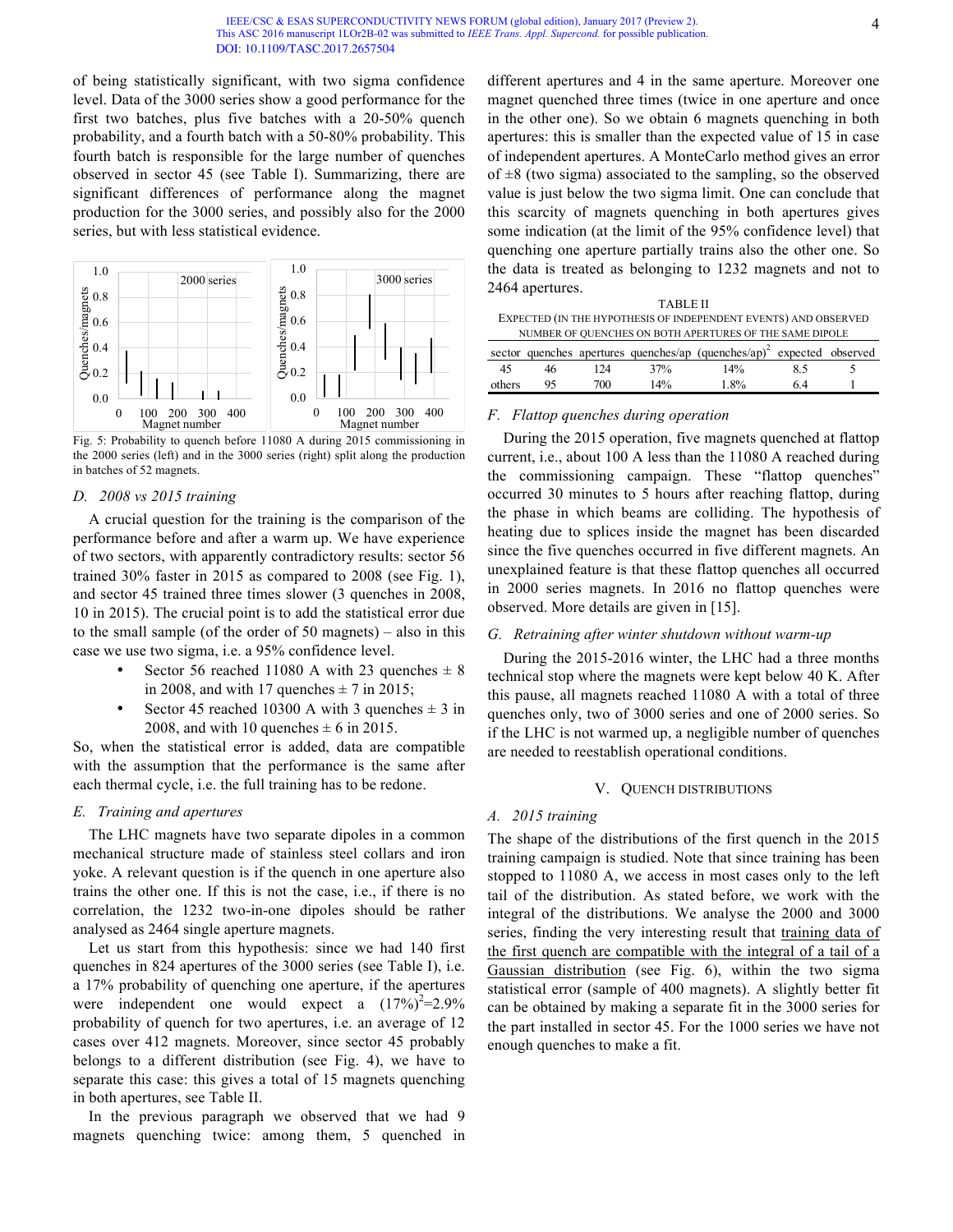#### IEEE/CSC & ESAS SUPERCONDUCTIVITY NEWS FORUM (global edition), January 2017 (Preview 2). This ASC 2016 manuscript 1LOr2B-02 was submitted to *IEEE Trans. Appl. Supercond.* for possible publication. [DOI: 10.1109/TASC.201](http://ieeexplore.ieee.org/document/7831387/)7.2657504

of being statistically significant, with two sigma confidence level. Data of the 3000 series show a good performance for the first two batches, plus five batches with a 20-50% quench probability, and a fourth batch with a 50-80% probability. This fourth batch is responsible for the large number of quenches observed in sector 45 (see Table I). Summarizing, there are significant differences of performance along the magnet production for the 3000 series, and possibly also for the 2000 series, but with less statistical evidence.



Fig. 5: Probability to quench before 11080 A during 2015 commissioning in the 2000 series (left) and in the 3000 series (right) split along the production in batches of 52 magnets.

# *D. 2008 vs 2015 training*

A crucial question for the training is the comparison of the performance before and after a warm up. We have experience of two sectors, with apparently contradictory results: sector 56 trained 30% faster in 2015 as compared to 2008 (see Fig. 1), and sector 45 trained three times slower (3 quenches in 2008, 10 in 2015). The crucial point is to add the statistical error due to the small sample (of the order of 50 magnets) – also in this case we use two sigma, i.e. a 95% confidence level.

- Sector 56 reached 11080 A with 23 quenches  $\pm$  8 in 2008, and with 17 quenches  $\pm$  7 in 2015;
- Sector 45 reached 10300 A with 3 quenches  $\pm$  3 in 2008, and with 10 quenches  $\pm$  6 in 2015.

So, when the statistical error is added, data are compatible with the assumption that the performance is the same after each thermal cycle, i.e. the full training has to be redone.

## *E. Training and apertures*

The LHC magnets have two separate dipoles in a common mechanical structure made of stainless steel collars and iron yoke. A relevant question is if the quench in one aperture also trains the other one. If this is not the case, i.e., if there is no correlation, the 1232 two-in-one dipoles should be rather analysed as 2464 single aperture magnets.

Let us start from this hypothesis: since we had 140 first quenches in 824 apertures of the 3000 series (see Table I), i.e. a 17% probability of quenching one aperture, if the apertures were independent one would expect a  $(17\%)^2 = 2.9\%$ probability of quench for two apertures, i.e. an average of 12 cases over 412 magnets. Moreover, since sector 45 probably belongs to a different distribution (see Fig. 4), we have to separate this case: this gives a total of 15 magnets quenching in both apertures, see Table II.

In the previous paragraph we observed that we had 9 magnets quenching twice: among them, 5 quenched in different apertures and 4 in the same aperture. Moreover one magnet quenched three times (twice in one aperture and once in the other one). So we obtain 6 magnets quenching in both apertures: this is smaller than the expected value of 15 in case of independent apertures. A MonteCarlo method gives an error of  $\pm 8$  (two sigma) associated to the sampling, so the observed value is just below the two sigma limit. One can conclude that this scarcity of magnets quenching in both apertures gives some indication (at the limit of the 95% confidence level) that quenching one aperture partially trains also the other one. So the data is treated as belonging to 1232 magnets and not to 2464 apertures.

| <b>TABLE II</b>                                                 |
|-----------------------------------------------------------------|
| EXPECTED (IN THE HYPOTHESIS OF INDEPENDENT EVENTS) AND OBSERVED |
| NUMBER OF QUENCHES ON BOTH APERTURES OF THE SAME DIPOLE         |

|        |    |     |     | sector quenches apertures quenches/ap $(quenches(ap)^2$ expected observed |    |  |
|--------|----|-----|-----|---------------------------------------------------------------------------|----|--|
| - 45   | 46 | 124 | 37% | 14%                                                                       | 85 |  |
| others | 95 | 700 | 14% | 1.8%                                                                      | 64 |  |

## *F. Flattop quenches during operation*

During the 2015 operation, five magnets quenched at flattop current, i.e., about 100 A less than the 11080 A reached during the commissioning campaign. These "flattop quenches" occurred 30 minutes to 5 hours after reaching flattop, during the phase in which beams are colliding. The hypothesis of heating due to splices inside the magnet has been discarded since the five quenches occurred in five different magnets. An unexplained feature is that these flattop quenches all occurred in 2000 series magnets. In 2016 no flattop quenches were observed. More details are given in [15].

## *G. Retraining after winter shutdown without warm-up*

During the 2015-2016 winter, the LHC had a three months technical stop where the magnets were kept below 40 K. After this pause, all magnets reached 11080 A with a total of three quenches only, two of 3000 series and one of 2000 series. So if the LHC is not warmed up, a negligible number of quenches are needed to reestablish operational conditions.

## V. QUENCH DISTRIBUTIONS

#### *A. 2015 training*

The shape of the distributions of the first quench in the 2015 training campaign is studied. Note that since training has been stopped to 11080 A, we access in most cases only to the left tail of the distribution. As stated before, we work with the integral of the distributions. We analyse the 2000 and 3000 series, finding the very interesting result that training data of the first quench are compatible with the integral of a tail of a Gaussian distribution (see Fig. 6), within the two sigma statistical error (sample of 400 magnets). A slightly better fit can be obtained by making a separate fit in the 3000 series for the part installed in sector 45. For the 1000 series we have not enough quenches to make a fit.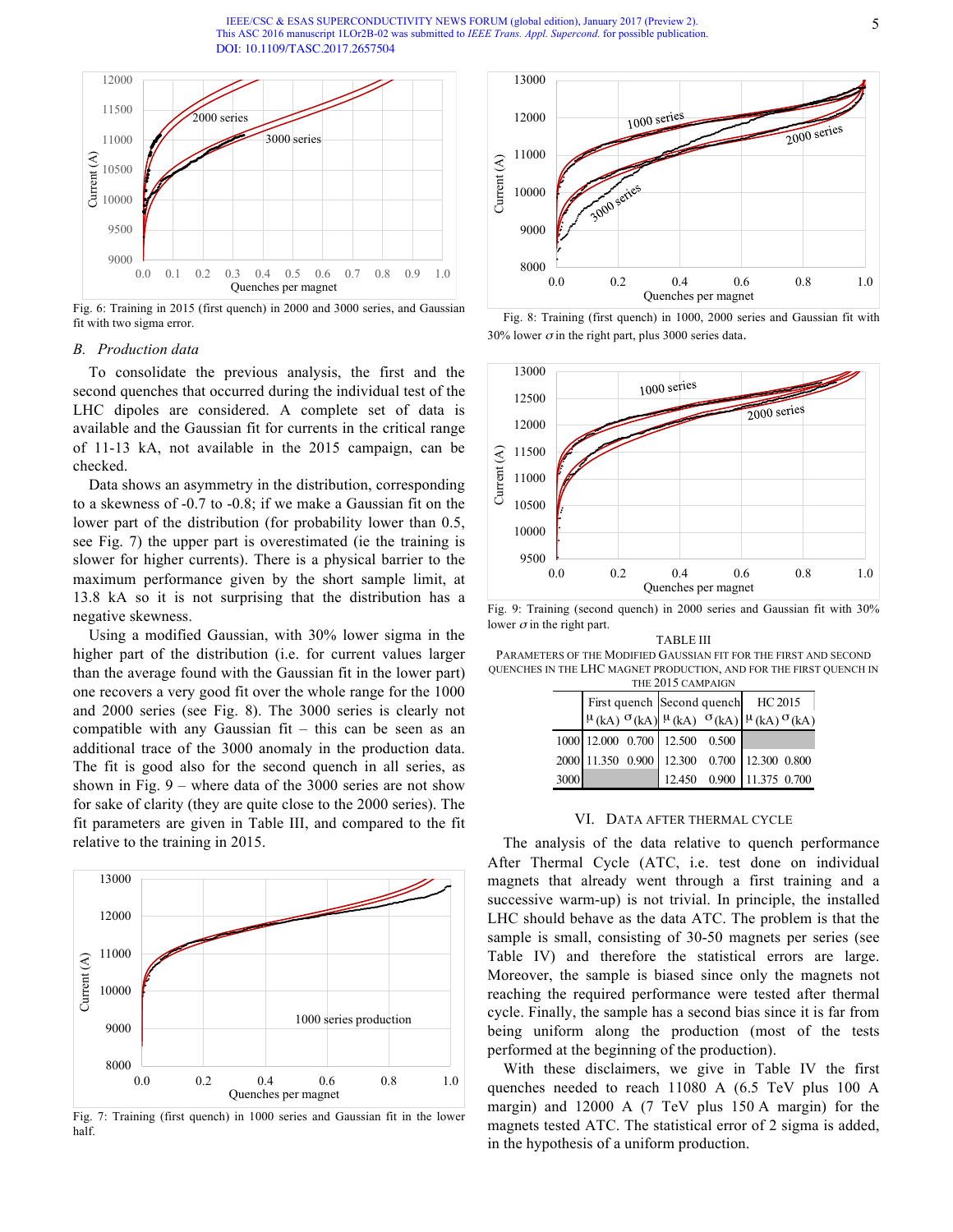IEEE/CSC & ESAS SUPERCONDUCTIVITY NEWS FORUM (global edition), January 2017 (Preview 2). This ASC 2016 manuscript 1LOr2B-02 was submitted to *IEEE Trans. Appl. Supercond.* for possible publication. [DOI: 10.1109/TASC.2](http://ieeexplore.ieee.org/document/7831387/)017.2657504



Fig. 6: Training in 2015 (first quench) in 2000 and 3000 series, and Gaussian fit with two sigma error.

## *B. Production data*

To consolidate the previous analysis, the first and the second quenches that occurred during the individual test of the LHC dipoles are considered. A complete set of data is available and the Gaussian fit for currents in the critical range of 11-13 kA, not available in the 2015 campaign, can be checked.

Data shows an asymmetry in the distribution, corresponding to a skewness of -0.7 to -0.8; if we make a Gaussian fit on the lower part of the distribution (for probability lower than 0.5, see Fig. 7) the upper part is overestimated (ie the training is slower for higher currents). There is a physical barrier to the maximum performance given by the short sample limit, at 13.8 kA so it is not surprising that the distribution has a negative skewness.

Using a modified Gaussian, with 30% lower sigma in the higher part of the distribution (i.e. for current values larger than the average found with the Gaussian fit in the lower part) one recovers a very good fit over the whole range for the 1000 and 2000 series (see Fig. 8). The 3000 series is clearly not compatible with any Gaussian fit – this can be seen as an additional trace of the 3000 anomaly in the production data. The fit is good also for the second quench in all series, as shown in Fig. 9 – where data of the 3000 series are not show for sake of clarity (they are quite close to the 2000 series). The fit parameters are given in Table III, and compared to the fit relative to the training in 2015.



Fig. 7: Training (first quench) in 1000 series and Gaussian fit in the lower half.



Fig. 8: Training (first quench) in 1000, 2000 series and Gaussian fit with 30% lower  $\sigma$  in the right part, plus 3000 series data.



Fig. 9: Training (second quench) in 2000 series and Gaussian fit with 30% lower  $\sigma$  in the right part.

TABLE III PARAMETERS OF THE MODIFIED GAUSSIAN FIT FOR THE FIRST AND SECOND QUENCHES IN THE LHC MAGNET PRODUCTION, AND FOR THE FIRST QUENCH IN THE 2015 CAMPAIG

| 11112 2012 CABILARDIA |  |  |                                                                                                      |                              |                                    |  |  |  |  |
|-----------------------|--|--|------------------------------------------------------------------------------------------------------|------------------------------|------------------------------------|--|--|--|--|
|                       |  |  |                                                                                                      |                              | First quench Second quench HC 2015 |  |  |  |  |
|                       |  |  | $\left \mu(kA) \right  \sigma(kA) \left \mu(kA) \right  \left \sigma(kA) \right  \mu(kA) \sigma(kA)$ |                              |                                    |  |  |  |  |
|                       |  |  | 1000 12.000 0.700 12.500 0.500                                                                       |                              |                                    |  |  |  |  |
|                       |  |  | 2000 11.350 0.900 12.300 0.700 12.300 0.800                                                          |                              |                                    |  |  |  |  |
| 3000                  |  |  |                                                                                                      | 12.450  0.900  11.375  0.700 |                                    |  |  |  |  |

## VI. DATA AFTER THERMAL CYCLE

The analysis of the data relative to quench performance After Thermal Cycle (ATC, i.e. test done on individual magnets that already went through a first training and a successive warm-up) is not trivial. In principle, the installed LHC should behave as the data ATC. The problem is that the sample is small, consisting of 30-50 magnets per series (see Table IV) and therefore the statistical errors are large. Moreover, the sample is biased since only the magnets not reaching the required performance were tested after thermal cycle. Finally, the sample has a second bias since it is far from being uniform along the production (most of the tests performed at the beginning of the production).

With these disclaimers, we give in Table IV the first quenches needed to reach 11080 A (6.5 TeV plus 100 A margin) and 12000 A (7 TeV plus 150 A margin) for the magnets tested ATC. The statistical error of 2 sigma is added, in the hypothesis of a uniform production.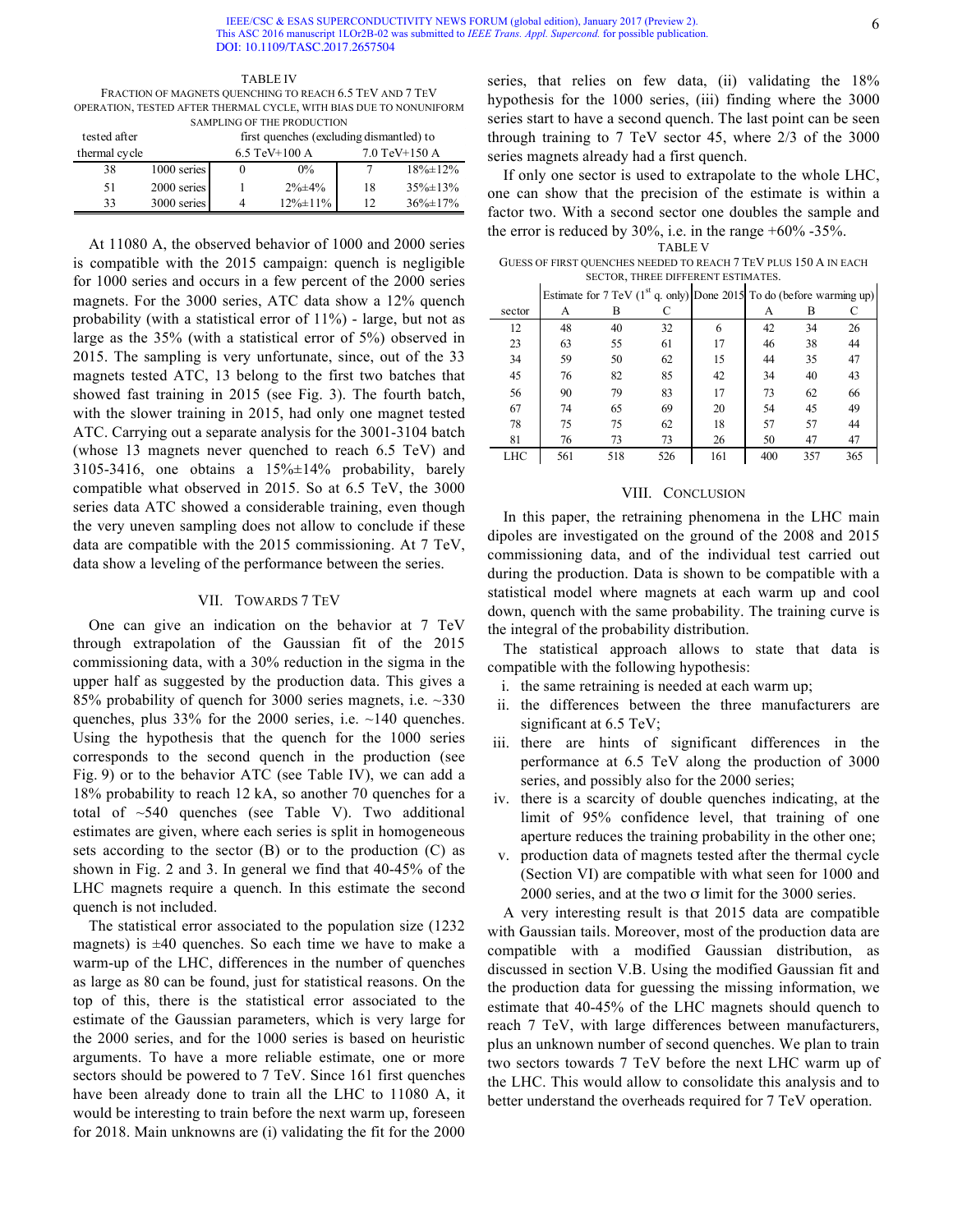TABLE IV FRACTION OF MAGNETS QUENCHING TO REACH 6.5 TEV AND 7 TEV OPERATION, TESTED AFTER THERMAL CYCLE, WITH BIAS DUE TO NONUNIFORM SAMPLING OF THE PRODUCTION

| tested after  |             | first quenches (excluding dismantled) to |                  |               |                 |  |  |
|---------------|-------------|------------------------------------------|------------------|---------------|-----------------|--|--|
| thermal cycle |             |                                          | 6.5 TeV $+100$ A | 7.0 TeV+150 A |                 |  |  |
| 38            | 1000 series |                                          | $0\%$            |               | $18\% \pm 12\%$ |  |  |
| 51            | 2000 series |                                          | $2\% \pm 4\%$    | 18            | $35\% \pm 13\%$ |  |  |
| 33            | 3000 series | 4                                        | $12\% \pm 11\%$  | 12            | $36\% \pm 17\%$ |  |  |

At 11080 A, the observed behavior of 1000 and 2000 series is compatible with the 2015 campaign: quench is negligible for 1000 series and occurs in a few percent of the 2000 series magnets. For the 3000 series, ATC data show a 12% quench probability (with a statistical error of 11%) - large, but not as large as the 35% (with a statistical error of 5%) observed in 2015. The sampling is very unfortunate, since, out of the 33 magnets tested ATC, 13 belong to the first two batches that showed fast training in 2015 (see Fig. 3). The fourth batch, with the slower training in 2015, had only one magnet tested ATC. Carrying out a separate analysis for the 3001-3104 batch (whose 13 magnets never quenched to reach 6.5 TeV) and 3105-3416, one obtains a 15%±14% probability, barely compatible what observed in 2015. So at 6.5 TeV, the 3000 series data ATC showed a considerable training, even though the very uneven sampling does not allow to conclude if these data are compatible with the 2015 commissioning. At 7 TeV, data show a leveling of the performance between the series.

## VII. TOWARDS 7 TEV

One can give an indication on the behavior at 7 TeV through extrapolation of the Gaussian fit of the 2015 commissioning data, with a 30% reduction in the sigma in the upper half as suggested by the production data. This gives a 85% probability of quench for 3000 series magnets, i.e. ~330 quenches, plus 33% for the 2000 series, i.e. ~140 quenches. Using the hypothesis that the quench for the 1000 series corresponds to the second quench in the production (see Fig. 9) or to the behavior ATC (see Table IV), we can add a 18% probability to reach 12 kA, so another 70 quenches for a total of ~540 quenches (see Table V). Two additional estimates are given, where each series is split in homogeneous sets according to the sector (B) or to the production (C) as shown in Fig. 2 and 3. In general we find that 40-45% of the LHC magnets require a quench. In this estimate the second quench is not included.

The statistical error associated to the population size (1232 magnets) is  $\pm 40$  quenches. So each time we have to make a warm-up of the LHC, differences in the number of quenches as large as 80 can be found, just for statistical reasons. On the top of this, there is the statistical error associated to the estimate of the Gaussian parameters, which is very large for the 2000 series, and for the 1000 series is based on heuristic arguments. To have a more reliable estimate, one or more sectors should be powered to 7 TeV. Since 161 first quenches have been already done to train all the LHC to 11080 A, it would be interesting to train before the next warm up, foreseen for 2018. Main unknowns are (i) validating the fit for the 2000

series, that relies on few data, (ii) validating the  $18\%$ hypothesis for the 1000 series, (iii) finding where the 3000 series start to have a second quench. The last point can be seen through training to 7 TeV sector 45, where 2/3 of the 3000 series magnets already had a first quench.

If only one sector is used to extrapolate to the whole LHC, one can show that the precision of the estimate is within a factor two. With a second sector one doubles the sample and the error is reduced by 30%, i.e. in the range  $+60\%$  -35%.

TABLE V

GUESS OF FIRST QUENCHES NEEDED TO REACH 7 TEV PLUS 150 A IN EACH SECTOR, THREE DIFFERENT ESTIMATES.

|        |     |     |     | Estimate for 7 TeV (1 <sup>st</sup> q. only) Done 2015 To do (before warming up) |     |     |     |
|--------|-----|-----|-----|----------------------------------------------------------------------------------|-----|-----|-----|
| sector | А   | В   | С   |                                                                                  | А   | в   |     |
| 12     | 48  | 40  | 32  | 6                                                                                | 42  | 34  | 26  |
| 23     | 63  | 55  | 61  | 17                                                                               | 46  | 38  | 44  |
| 34     | 59  | 50  | 62  | 15                                                                               | 44  | 35  | 47  |
| 45     | 76  | 82  | 85  | 42                                                                               | 34  | 40  | 43  |
| 56     | 90  | 79  | 83  | 17                                                                               | 73  | 62  | 66  |
| 67     | 74  | 65  | 69  | 20                                                                               | 54  | 45  | 49  |
| 78     | 75  | 75  | 62  | 18                                                                               | 57  | 57  | 44  |
| 81     | 76  | 73  | 73  | 26                                                                               | 50  | 47  | 47  |
| LHC    | 561 | 518 | 526 | 161                                                                              | 400 | 357 | 365 |

#### VIII. CONCLUSION

In this paper, the retraining phenomena in the LHC main dipoles are investigated on the ground of the 2008 and 2015 commissioning data, and of the individual test carried out during the production. Data is shown to be compatible with a statistical model where magnets at each warm up and cool down, quench with the same probability. The training curve is the integral of the probability distribution.

The statistical approach allows to state that data is compatible with the following hypothesis:

- i. the same retraining is needed at each warm up;
- ii. the differences between the three manufacturers are significant at 6.5 TeV;
- iii. there are hints of significant differences in the performance at 6.5 TeV along the production of 3000 series, and possibly also for the 2000 series;
- iv. there is a scarcity of double quenches indicating, at the limit of 95% confidence level, that training of one aperture reduces the training probability in the other one;
- v. production data of magnets tested after the thermal cycle (Section VI) are compatible with what seen for 1000 and 2000 series, and at the two  $\sigma$  limit for the 3000 series.

A very interesting result is that 2015 data are compatible with Gaussian tails. Moreover, most of the production data are compatible with a modified Gaussian distribution, as discussed in section V.B. Using the modified Gaussian fit and the production data for guessing the missing information, we estimate that 40-45% of the LHC magnets should quench to reach 7 TeV, with large differences between manufacturers, plus an unknown number of second quenches. We plan to train two sectors towards 7 TeV before the next LHC warm up of the LHC. This would allow to consolidate this analysis and to better understand the overheads required for 7 TeV operation.